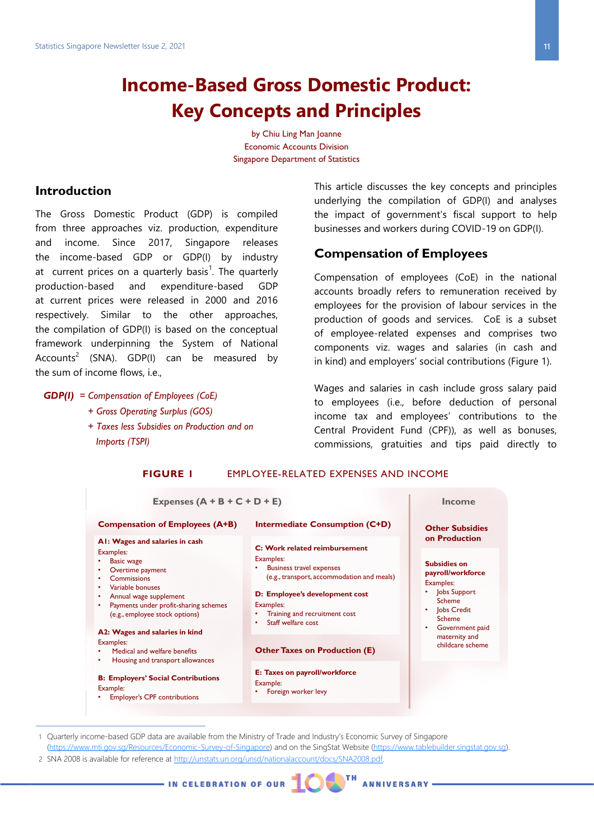# **Income-Based Gross Domestic Product: Key Concepts and Principles**

by Chiu Ling Man Joanne Economic Accounts Division Singapore Department of Statistics

## **Introduction**

The Gross Domestic Product (GDP) is compiled from three approaches viz. production, expenditure and income. Since 2017, Singapore releases the income-based GDP or GDP(I) by industry at current prices on a quarterly basis<sup>1</sup>. The quarterly production-based and expenditure-based GDP at current prices were released in 2000 and 2016 respectively. Similar to the other approaches, the compilation of GDP(I) is based on the conceptual framework underpinning the System of National Accounts<sup>2</sup> (SNA). GDP(I) can be measured by the sum of income flows, i.e.,

#### *GDP(I) = Compensation of Employees (CoE)*

- *+ Gross Operating Surplus (GOS)*
- *+ Taxes less Subsidies on Production and on Imports (TSPI)*

This article discusses the key concepts and principles underlying the compilation of GDP(I) and analyses the impact of government's fiscal support to help businesses and workers during COVID-19 on GDP(I).

#### **Compensation of Employees**

**ANNIVERSARY** 

Compensation of employees (CoE) in the national accounts broadly refers to remuneration received by employees for the provision of labour services in the production of goods and services. CoE is a subset of employee-related expenses and comprises two components viz. wages and salaries (in cash and in kind) and employers' social contributions (Figure 1).

Wages and salaries in cash include gross salary paid to employees (i.e., before deduction of personal income tax and employees' contributions to the Central Provident Fund (CPF)), as well as bonuses, commissions, gratuities and tips paid directly to

#### **FIGURE 1** EMPLOYEE-RELATED EXPENSES AND INCOME



1 Quarterly income-based GDP data are available from the Ministry of Trade and Industry's Economic Survey of Singapore [\(https://www.mti.gov.sg/Resources/Economic](https://www.mti.gov.sg/Resources/Economic-Survey-of-Singapore)-Survey-of-Singapore) and on the SingStat Website [\(https://www.tablebuilder.singstat.gov.sg\).](https://www.tablebuilder.singstat.gov.sg)

2 SNA 2008 is available for reference at [http://unstats.un.org/unsd/nationalaccount/docs/SNA2008.pdf.](http://unstats.un.org/unsd/nationalaccount/docs/SNA2008.pdf) 

IN CELEBRATION OF OUR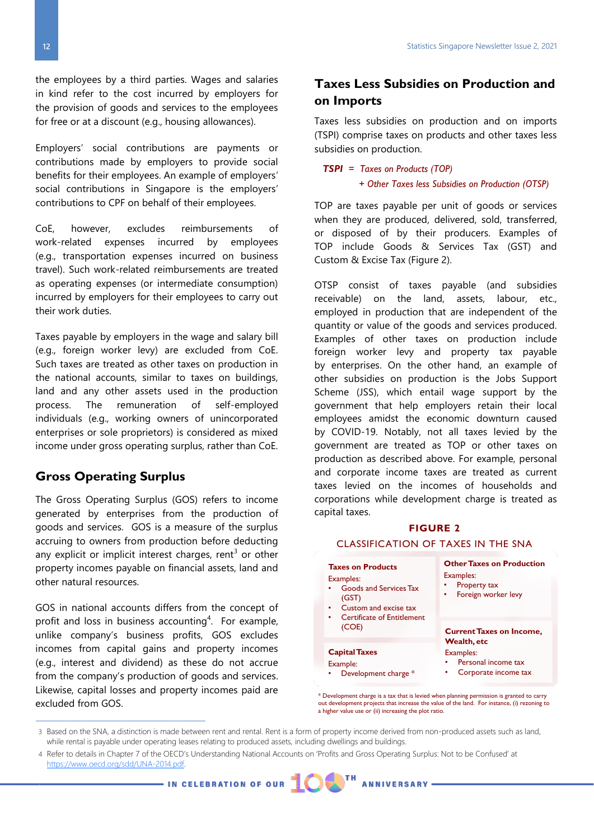the employees by a third parties. Wages and salaries in kind refer to the cost incurred by employers for the provision of goods and services to the employees for free or at a discount (e.g., housing allowances).

Employers' social contributions are payments or contributions made by employers to provide social benefits for their employees. An example of employers' social contributions in Singapore is the employers' contributions to CPF on behalf of their employees.

CoE, however, excludes reimbursements of work-related expenses incurred by employees (e.g., transportation expenses incurred on business travel). Such work-related reimbursements are treated as operating expenses (or intermediate consumption) incurred by employers for their employees to carry out their work duties.

Taxes payable by employers in the wage and salary bill (e.g., foreign worker levy) are excluded from CoE. Such taxes are treated as other taxes on production in the national accounts, similar to taxes on buildings, land and any other assets used in the production process. The remuneration of self-employed individuals (e.g., working owners of unincorporated enterprises or sole proprietors) is considered as mixed income under gross operating surplus, rather than CoE.

## **Gross Operating Surplus**

The Gross Operating Surplus (GOS) refers to income generated by enterprises from the production of goods and services. GOS is a measure of the surplus accruing to owners from production before deducting any explicit or implicit interest charges, rent<sup>3</sup> or other property incomes payable on financial assets, land and other natural resources.

GOS in national accounts differs from the concept of profit and loss in business accounting<sup>4</sup>. For example, unlike company's business profits, GOS excludes incomes from capital gains and property incomes (e.g., interest and dividend) as these do not accrue from the company's production of goods and services. Likewise, capital losses and property incomes paid are excluded from GOS.

## **Taxes Less Subsidies on Production and on Imports**

Taxes less subsidies on production and on imports (TSPI) comprise taxes on products and other taxes less subsidies on production.

*TSPI = Taxes on Products (TOP) + Other Taxes less Subsidies on Production (OTSP)*

TOP are taxes payable per unit of goods or services when they are produced, delivered, sold, transferred, or disposed of by their producers. Examples of TOP include Goods & Services Tax (GST) and Custom & Excise Tax (Figure 2).

OTSP consist of taxes payable (and subsidies receivable) on the land, assets, labour, etc., employed in production that are independent of the quantity or value of the goods and services produced. Examples of other taxes on production include foreign worker levy and property tax payable by enterprises. On the other hand, an example of other subsidies on production is the Jobs Support Scheme (JSS), which entail wage support by the government that help employers retain their local employees amidst the economic downturn caused by COVID-19. Notably, not all taxes levied by the government are treated as TOP or other taxes on production as described above. For example, personal and corporate income taxes are treated as current taxes levied on the incomes of households and corporations while development charge is treated as capital taxes.

#### **FIGURE 2** CLASSIFICATION OF TAXES IN THE SNA

#### **Taxes on Products** Examples: • Goods and Services Tax (GST)

- •Custom and excise tax
- • Certificate of Entitlement (COE)

## **Capital Taxes**

- Example: • Development charge \*
- **Other Taxes on Production** Examples:

#### •Property tax

• Foreign worker levy

**Current Taxes on Income, Wealth, etc**

#### Examples: •Personal income tax

- Corporate income tax
- \* Development charge is a tax that is levied when planning permission is granted to carry out development projects that increase the value of the land. For instance, (i) rezoning to a higher value use or (ii) increasing the plot ratio.

•

4 Refer to details in Chapter 7 of the OECD's Understanding National Accounts on 'Profits and Gross Operating Surplus: Not to be Confused' at [https://www.oecd.org/sdd/UNA](https://www.oecd.org/sdd/UNA-2014.pdf)-2014.pdf.

- IN CELEBRATION OF OUR T **ANNIVERSARY** 

<sup>3</sup> Based on the SNA, a distinction is made between rent and rental. Rent is a form of property income derived from non-produced assets such as land, while rental is payable under operating leases relating to produced assets, including dwellings and buildings.